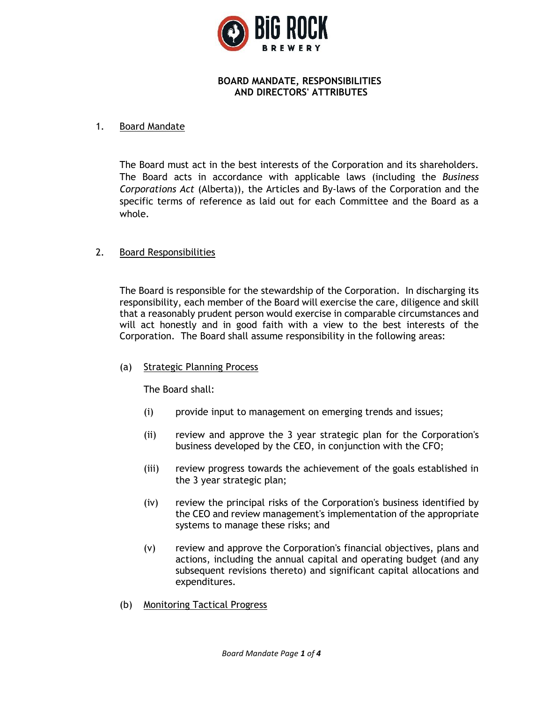

## **BOARD MANDATE, RESPONSIBILITIES AND DIRECTORS' ATTRIBUTES**

### 1. Board Mandate

The Board must act in the best interests of the Corporation and its shareholders. The Board acts in accordance with applicable laws (including the *Business Corporations Act* (Alberta)), the Articles and By-laws of the Corporation and the specific terms of reference as laid out for each Committee and the Board as a whole.

### 2. Board Responsibilities

The Board is responsible for the stewardship of the Corporation. In discharging its responsibility, each member of the Board will exercise the care, diligence and skill that a reasonably prudent person would exercise in comparable circumstances and will act honestly and in good faith with a view to the best interests of the Corporation. The Board shall assume responsibility in the following areas:

### (a) Strategic Planning Process

The Board shall:

- (i) provide input to management on emerging trends and issues;
- (ii) review and approve the 3 year strategic plan for the Corporation's business developed by the CEO, in conjunction with the CFO;
- (iii) review progress towards the achievement of the goals established in the 3 year strategic plan;
- (iv) review the principal risks of the Corporation's business identified by the CEO and review management's implementation of the appropriate systems to manage these risks; and
- (v) review and approve the Corporation's financial objectives, plans and actions, including the annual capital and operating budget (and any subsequent revisions thereto) and significant capital allocations and expenditures.
- (b) Monitoring Tactical Progress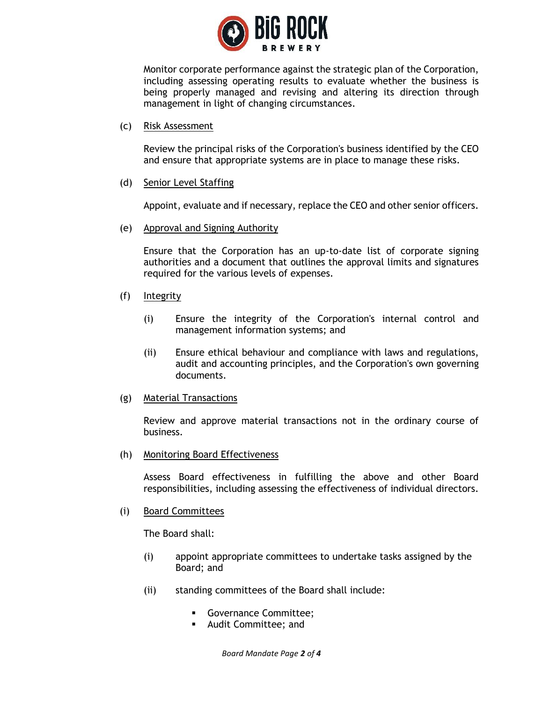

Monitor corporate performance against the strategic plan of the Corporation, including assessing operating results to evaluate whether the business is being properly managed and revising and altering its direction through management in light of changing circumstances.

(c) Risk Assessment

Review the principal risks of the Corporation's business identified by the CEO and ensure that appropriate systems are in place to manage these risks.

(d) Senior Level Staffing

Appoint, evaluate and if necessary, replace the CEO and other senior officers.

(e) Approval and Signing Authority

Ensure that the Corporation has an up-to-date list of corporate signing authorities and a document that outlines the approval limits and signatures required for the various levels of expenses.

- (f) Integrity
	- (i) Ensure the integrity of the Corporation's internal control and management information systems; and
	- (ii) Ensure ethical behaviour and compliance with laws and regulations, audit and accounting principles, and the Corporation's own governing documents.
- (g) Material Transactions

Review and approve material transactions not in the ordinary course of business.

(h) Monitoring Board Effectiveness

Assess Board effectiveness in fulfilling the above and other Board responsibilities, including assessing the effectiveness of individual directors.

(i) Board Committees

The Board shall:

- (i) appoint appropriate committees to undertake tasks assigned by the Board; and
- (ii) standing committees of the Board shall include:
	- **Governance Committee;**
	- Audit Committee; and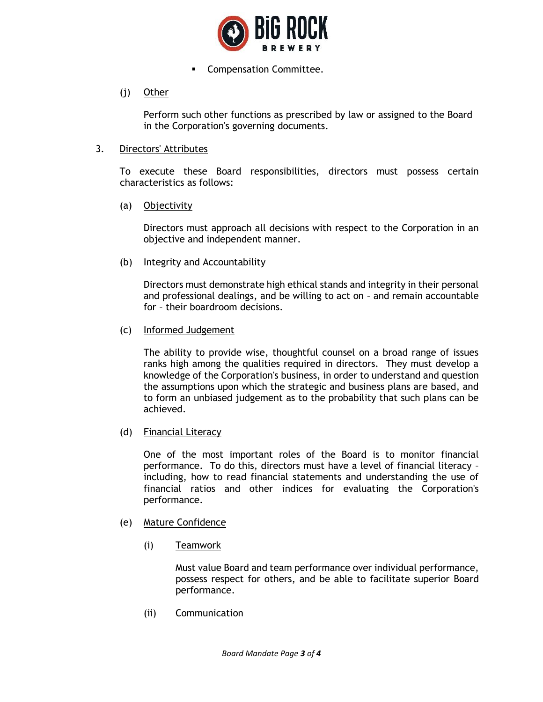

**•** Compensation Committee.

# (j) Other

Perform such other functions as prescribed by law or assigned to the Board in the Corporation's governing documents.

#### 3. Directors' Attributes

To execute these Board responsibilities, directors must possess certain characteristics as follows:

(a) Objectivity

Directors must approach all decisions with respect to the Corporation in an objective and independent manner.

(b) Integrity and Accountability

Directors must demonstrate high ethical stands and integrity in their personal and professional dealings, and be willing to act on – and remain accountable for – their boardroom decisions.

(c) Informed Judgement

The ability to provide wise, thoughtful counsel on a broad range of issues ranks high among the qualities required in directors. They must develop a knowledge of the Corporation's business, in order to understand and question the assumptions upon which the strategic and business plans are based, and to form an unbiased judgement as to the probability that such plans can be achieved.

(d) Financial Literacy

One of the most important roles of the Board is to monitor financial performance. To do this, directors must have a level of financial literacy – including, how to read financial statements and understanding the use of financial ratios and other indices for evaluating the Corporation's performance.

- (e) Mature Confidence
	- (i) Teamwork

Must value Board and team performance over individual performance, possess respect for others, and be able to facilitate superior Board performance.

(ii) Communication